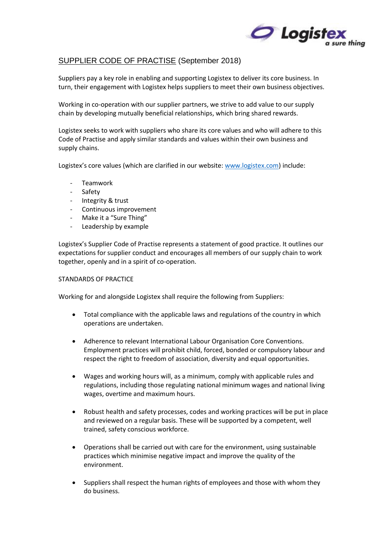

## SUPPLIER CODE OF PRACTISE (September 2018)

Suppliers pay a key role in enabling and supporting Logistex to deliver its core business. In turn, their engagement with Logistex helps suppliers to meet their own business objectives.

Working in co-operation with our supplier partners, we strive to add value to our supply chain by developing mutually beneficial relationships, which bring shared rewards.

Logistex seeks to work with suppliers who share its core values and who will adhere to this Code of Practise and apply similar standards and values within their own business and supply chains.

Logistex's core values (which are clarified in our website: [www.logistex.com\)](http://www.logistex.com/) include:

- Teamwork
- Safety
- Integrity & trust
- Continuous improvement
- Make it a "Sure Thing"
- Leadership by example

Logistex's Supplier Code of Practise represents a statement of good practice. It outlines our expectations for supplier conduct and encourages all members of our supply chain to work together, openly and in a spirit of co-operation.

## STANDARDS OF PRACTICE

Working for and alongside Logistex shall require the following from Suppliers:

- Total compliance with the applicable laws and regulations of the country in which operations are undertaken.
- Adherence to relevant International Labour Organisation Core Conventions. Employment practices will prohibit child, forced, bonded or compulsory labour and respect the right to freedom of association, diversity and equal opportunities.
- Wages and working hours will, as a minimum, comply with applicable rules and regulations, including those regulating national minimum wages and national living wages, overtime and maximum hours.
- Robust health and safety processes, codes and working practices will be put in place and reviewed on a regular basis. These will be supported by a competent, well trained, safety conscious workforce.
- Operations shall be carried out with care for the environment, using sustainable practices which minimise negative impact and improve the quality of the environment.
- Suppliers shall respect the human rights of employees and those with whom they do business.